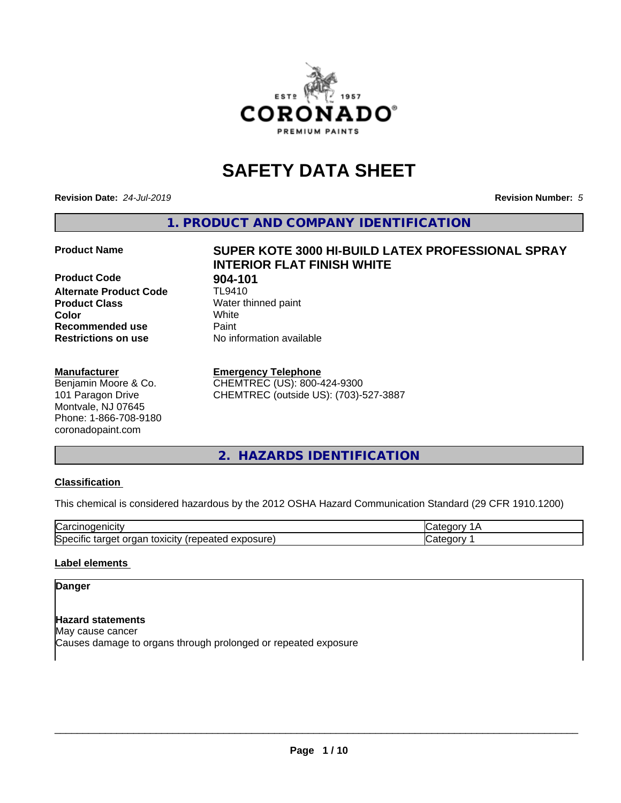

## **SAFETY DATA SHEET**

**Revision Date:** *24-Jul-2019* **Revision Number:** *5*

**1. PRODUCT AND COMPANY IDENTIFICATION**

**Product Code 61 904-101**<br>Alternate Product Code 61 TL9410 **Alternate Product Code Product Class** Water thinned paint<br> **Color** White **Color** White **Recommended use Caint Restrictions on use** No information available

#### **Manufacturer**

Benjamin Moore & Co. 101 Paragon Drive Montvale, NJ 07645 Phone: 1-866-708-9180 coronadopaint.com

# **Product Name SUPER KOTE 3000 HI-BUILD LATEX PROFESSIONAL SPRAY INTERIOR FLAT FINISH WHITE**

#### **Emergency Telephone**

CHEMTREC (US): 800-424-9300 CHEMTREC (outside US): (703)-527-3887

#### **2. HAZARDS IDENTIFICATION**

#### **Classification**

This chemical is considered hazardous by the 2012 OSHA Hazard Communication Standard (29 CFR 1910.1200)

| $\sim$<br>ш<br>n ,di                               |  |
|----------------------------------------------------|--|
| IS.<br><b>iosur</b><br>×เcit∨<br>็กลเ<br>ποχπ<br>ю |  |

#### **Label elements**

#### **Danger**

**Hazard statements** May cause cancer Causes damage to organs through prolonged or repeated exposure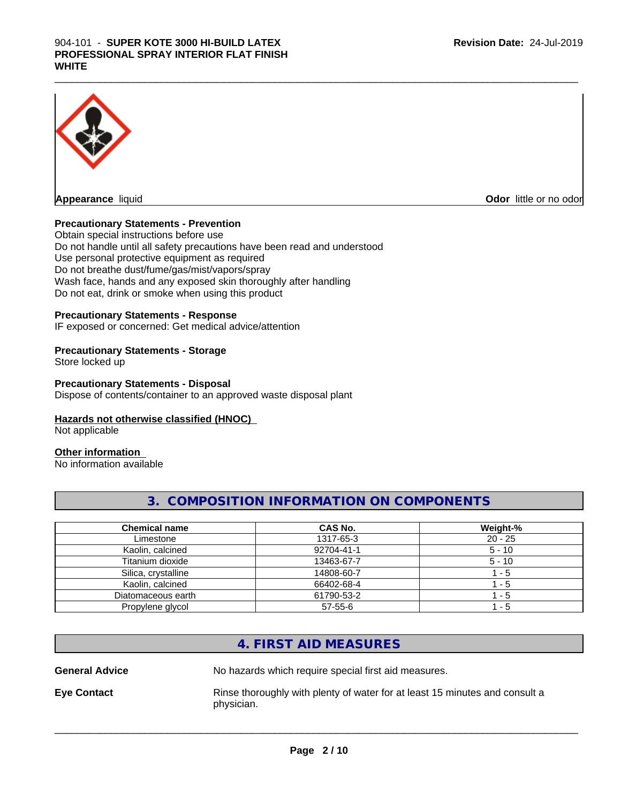#### $\_$  ,  $\_$  ,  $\_$  ,  $\_$  ,  $\_$  ,  $\_$  ,  $\_$  ,  $\_$  ,  $\_$  ,  $\_$  ,  $\_$  ,  $\_$  ,  $\_$  ,  $\_$  ,  $\_$  ,  $\_$  ,  $\_$  ,  $\_$  ,  $\_$  ,  $\_$  ,  $\_$  ,  $\_$  ,  $\_$  ,  $\_$  ,  $\_$  ,  $\_$  ,  $\_$  ,  $\_$  ,  $\_$  ,  $\_$  ,  $\_$  ,  $\_$  ,  $\_$  ,  $\_$  ,  $\_$  ,  $\_$  ,  $\_$  , 904-101 - **SUPER KOTE 3000 HI-BUILD LATEX PROFESSIONAL SPRAY INTERIOR FLAT FINISH WHITE**



**Odor** little or no odor

#### **Precautionary Statements - Prevention**

Obtain special instructions before use Do not handle until all safety precautions have been read and understood Use personal protective equipment as required Do not breathe dust/fume/gas/mist/vapors/spray Wash face, hands and any exposed skin thoroughly after handling Do not eat, drink or smoke when using this product

#### **Precautionary Statements - Response**

IF exposed or concerned: Get medical advice/attention

#### **Precautionary Statements - Storage**

Store locked up

#### **Precautionary Statements - Disposal**

Dispose of contents/container to an approved waste disposal plant

#### **Hazards not otherwise classified (HNOC)**

Not applicable

#### **Other information**

No information available

#### **3. COMPOSITION INFORMATION ON COMPONENTS**

| <b>Chemical name</b> | CAS No.       | Weight-%  |
|----------------------|---------------|-----------|
| Limestone            | 1317-65-3     | $20 - 25$ |
| Kaolin, calcined     | 92704-41-1    | $5 - 10$  |
| Titanium dioxide     | 13463-67-7    | $5 - 10$  |
| Silica, crystalline  | 14808-60-7    | - 5       |
| Kaolin, calcined     | 66402-68-4    | - 5       |
| Diatomaceous earth   | 61790-53-2    | - 5       |
| Propylene glycol     | $57 - 55 - 6$ | - 5       |

#### **4. FIRST AID MEASURES**

**General Advice** No hazards which require special first aid measures.

**Eye Contact Rinse thoroughly with plenty of water for at least 15 minutes and consult a** physician.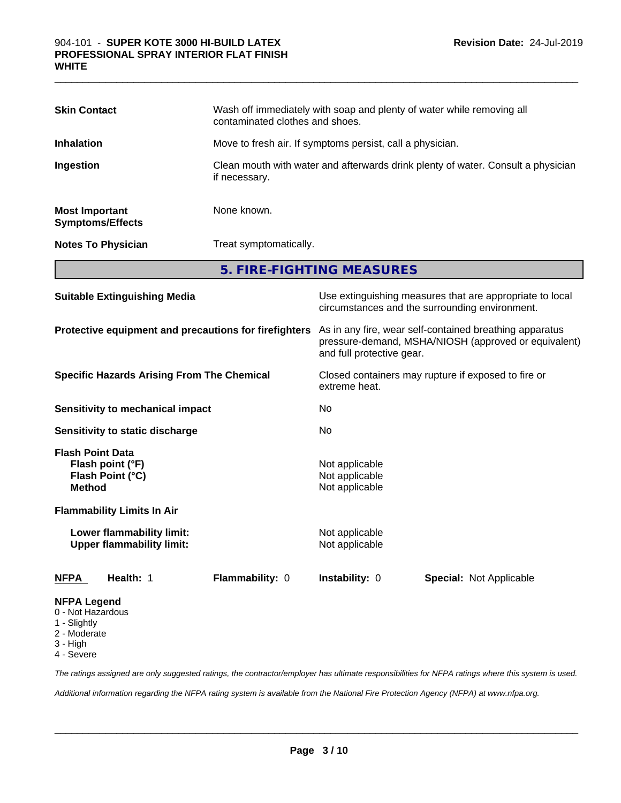| <b>Skin Contact</b>                                                                                        |                                         | Wash off immediately with soap and plenty of water while removing all<br>contaminated clothes and shoes.                                     |                           |                         |  |
|------------------------------------------------------------------------------------------------------------|-----------------------------------------|----------------------------------------------------------------------------------------------------------------------------------------------|---------------------------|-------------------------|--|
| <b>Inhalation</b>                                                                                          |                                         | Move to fresh air. If symptoms persist, call a physician.                                                                                    |                           |                         |  |
| Ingestion                                                                                                  |                                         | Clean mouth with water and afterwards drink plenty of water. Consult a physician<br>if necessary.                                            |                           |                         |  |
| <b>Most Important</b><br><b>Symptoms/Effects</b>                                                           |                                         | None known.                                                                                                                                  |                           |                         |  |
| <b>Notes To Physician</b>                                                                                  |                                         | Treat symptomatically.                                                                                                                       |                           |                         |  |
|                                                                                                            |                                         |                                                                                                                                              | 5. FIRE-FIGHTING MEASURES |                         |  |
| <b>Suitable Extinguishing Media</b>                                                                        |                                         | Use extinguishing measures that are appropriate to local<br>circumstances and the surrounding environment.                                   |                           |                         |  |
| Protective equipment and precautions for firefighters<br><b>Specific Hazards Arising From The Chemical</b> |                                         | As in any fire, wear self-contained breathing apparatus<br>pressure-demand, MSHA/NIOSH (approved or equivalent)<br>and full protective gear. |                           |                         |  |
|                                                                                                            |                                         | Closed containers may rupture if exposed to fire or<br>extreme heat.                                                                         |                           |                         |  |
|                                                                                                            | <b>Sensitivity to mechanical impact</b> |                                                                                                                                              | No                        |                         |  |
|                                                                                                            | <b>Sensitivity to static discharge</b>  |                                                                                                                                              | No                        |                         |  |
| <b>Flash Point Data</b><br>Flash point (°F)<br>Flash Point (°C)<br><b>Method</b>                           |                                         | Not applicable<br>Not applicable<br>Not applicable                                                                                           |                           |                         |  |
|                                                                                                            | <b>Flammability Limits In Air</b>       |                                                                                                                                              |                           |                         |  |
| Lower flammability limit:<br><b>Upper flammability limit:</b>                                              |                                         | Not applicable<br>Not applicable                                                                                                             |                           |                         |  |
| <b>NFPA</b>                                                                                                | Health: 1                               | Flammability: 0                                                                                                                              | Instability: 0            | Special: Not Applicable |  |
| <b>NFPA Legend</b><br>0 - Not Hazardous<br>1 - Slightly<br>2 - Moderate<br>3 - High                        |                                         |                                                                                                                                              |                           |                         |  |

 $\_$  ,  $\_$  ,  $\_$  ,  $\_$  ,  $\_$  ,  $\_$  ,  $\_$  ,  $\_$  ,  $\_$  ,  $\_$  ,  $\_$  ,  $\_$  ,  $\_$  ,  $\_$  ,  $\_$  ,  $\_$  ,  $\_$  ,  $\_$  ,  $\_$  ,  $\_$  ,  $\_$  ,  $\_$  ,  $\_$  ,  $\_$  ,  $\_$  ,  $\_$  ,  $\_$  ,  $\_$  ,  $\_$  ,  $\_$  ,  $\_$  ,  $\_$  ,  $\_$  ,  $\_$  ,  $\_$  ,  $\_$  ,  $\_$  ,

4 - Severe

*The ratings assigned are only suggested ratings, the contractor/employer has ultimate responsibilities for NFPA ratings where this system is used.*

*Additional information regarding the NFPA rating system is available from the National Fire Protection Agency (NFPA) at www.nfpa.org.*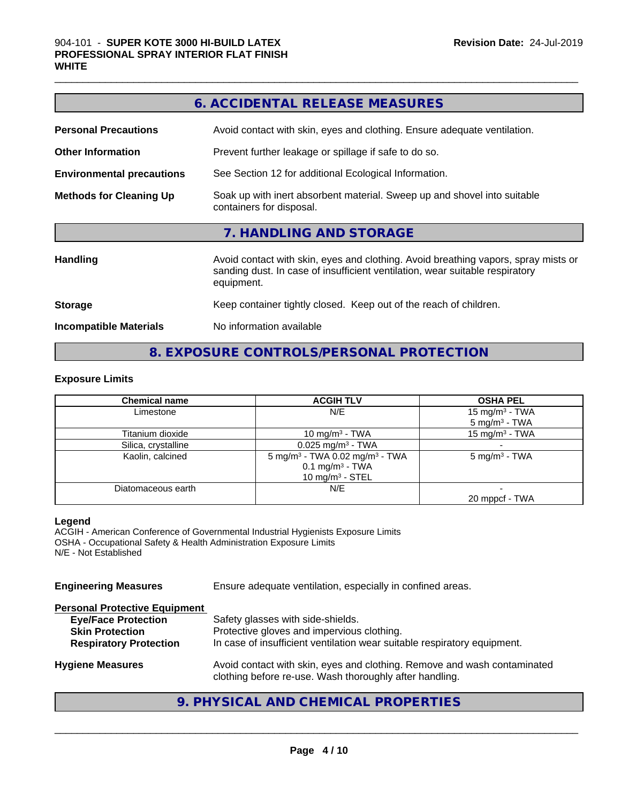|                                  | 6. ACCIDENTAL RELEASE MEASURES                                                                                                                                                   |
|----------------------------------|----------------------------------------------------------------------------------------------------------------------------------------------------------------------------------|
| <b>Personal Precautions</b>      | Avoid contact with skin, eyes and clothing. Ensure adequate ventilation.                                                                                                         |
| <b>Other Information</b>         | Prevent further leakage or spillage if safe to do so.                                                                                                                            |
| <b>Environmental precautions</b> | See Section 12 for additional Ecological Information.                                                                                                                            |
| <b>Methods for Cleaning Up</b>   | Soak up with inert absorbent material. Sweep up and shovel into suitable<br>containers for disposal.                                                                             |
|                                  | 7. HANDLING AND STORAGE                                                                                                                                                          |
| <b>Handling</b>                  | Avoid contact with skin, eyes and clothing. Avoid breathing vapors, spray mists or<br>sanding dust. In case of insufficient ventilation, wear suitable respiratory<br>equipment. |
| <b>Storage</b>                   | Keep container tightly closed. Keep out of the reach of children.                                                                                                                |
| <b>Incompatible Materials</b>    | No information available                                                                                                                                                         |

 $\_$  ,  $\_$  ,  $\_$  ,  $\_$  ,  $\_$  ,  $\_$  ,  $\_$  ,  $\_$  ,  $\_$  ,  $\_$  ,  $\_$  ,  $\_$  ,  $\_$  ,  $\_$  ,  $\_$  ,  $\_$  ,  $\_$  ,  $\_$  ,  $\_$  ,  $\_$  ,  $\_$  ,  $\_$  ,  $\_$  ,  $\_$  ,  $\_$  ,  $\_$  ,  $\_$  ,  $\_$  ,  $\_$  ,  $\_$  ,  $\_$  ,  $\_$  ,  $\_$  ,  $\_$  ,  $\_$  ,  $\_$  ,  $\_$  ,

### **8. EXPOSURE CONTROLS/PERSONAL PROTECTION**

#### **Exposure Limits**

| <b>Chemical name</b> | <b>ACGIH TLV</b>                                       | <b>OSHA PEL</b>            |
|----------------------|--------------------------------------------------------|----------------------------|
| Limestone            | N/E                                                    | 15 mg/m <sup>3</sup> - TWA |
|                      |                                                        | $5 \text{ mg/m}^3$ - TWA   |
| Titanium dioxide     | 10 mg/m <sup>3</sup> - TWA                             | 15 mg/m <sup>3</sup> - TWA |
| Silica, crystalline  | $0.025$ mg/m <sup>3</sup> - TWA                        |                            |
| Kaolin, calcined     | 5 mg/m <sup>3</sup> - TWA 0.02 mg/m <sup>3</sup> - TWA | $5 \text{ mg/m}^3$ - TWA   |
|                      | $0.1 \text{ mg/m}^3$ - TWA                             |                            |
|                      | 10 $mq/m3$ - STEL                                      |                            |
| Diatomaceous earth   | N/E                                                    |                            |
|                      |                                                        | 20 mppcf - TWA             |

#### **Legend**

ACGIH - American Conference of Governmental Industrial Hygienists Exposure Limits OSHA - Occupational Safety & Health Administration Exposure Limits N/E - Not Established

**Engineering Measures** Ensure adequate ventilation, especially in confined areas. **Personal Protective Equipment Eye/Face Protection**<br>
Safety glasses with side-shields.<br> **Skin Protection**<br>
Protective gloves and impervious Protective gloves and impervious clothing. **Respiratory Protection** In case of insufficient ventilation wear suitable respiratory equipment. **Hygiene Measures** Avoid contact with skin, eyes and clothing. Remove and wash contaminated clothing before re-use. Wash thoroughly after handling.

#### **9. PHYSICAL AND CHEMICAL PROPERTIES**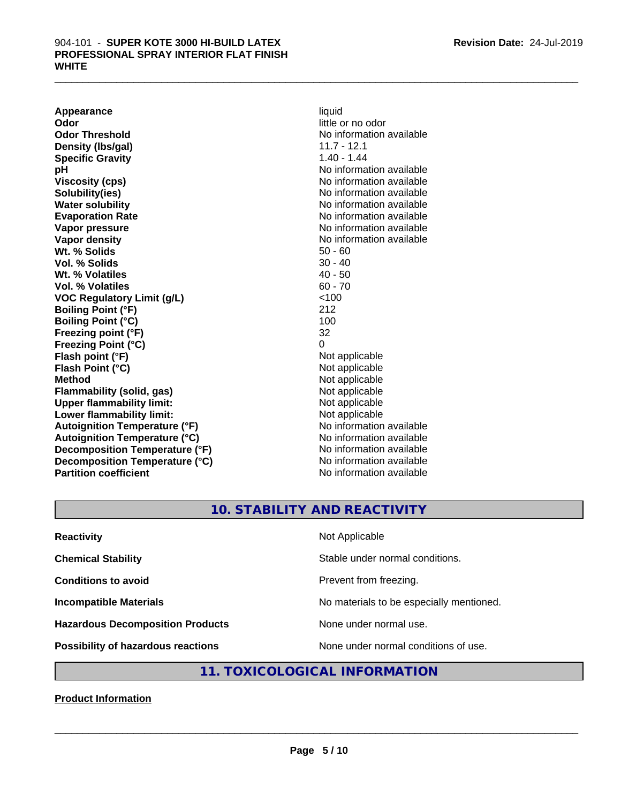**Appearance** liquid **Odor** little or no odor **Odor Threshold No information available** No information available **Density (lbs/gal)** 11.7 - 12.1 **Specific Gravity** 1.40 - 1.44 **pH pH**  $\blacksquare$ **Viscosity (cps)** No information available Notice 1, 1999 **Solubility(ies)** No information available in the solution of the solution of the solution available in the solution of the solution of the solution of the solution of the solution of the solution of the solution of the so **Water solubility** No information available **Evaporation Rate No information available No information available Vapor pressure**<br> **Vapor density**<br> **Vapor density**<br> **Vapor density**<br> **Vapor density Wt. % Solids** 50 - 60 **Vol. % Solids** 30 - 40<br> **Wt. % Volatiles** 30 - 40 - 50 **Wt. % Volatiles Vol. % Volatiles** 60 - 70 **VOC Regulatory Limit (g/L)** <100 **Boiling Point (°F)** 212 **Boiling Point (°C)** 100 **Freezing point (°F)** 32 **Freezing Point (°C)** 0 **Flash point (°F)**<br> **Flash Point (°C)**<br> **Flash Point (°C)**<br> **C Flash Point (°C) Method** Not applicable **Flammability (solid, gas)** Not applicable **Upper flammability limit:** Not applicable **Lower flammability limit:** Not applicable **Autoignition Temperature (°F)** No information available **Autoignition Temperature (°C)** No information available **Decomposition Temperature (°F)** No information available **Decomposition Temperature (°C)** No information available **Partition coefficient Contract Community No information available** 

**No information available** 

#### **10. STABILITY AND REACTIVITY**

| <b>Reactivity</b>                       | Not Applicable                           |
|-----------------------------------------|------------------------------------------|
| <b>Chemical Stability</b>               | Stable under normal conditions.          |
| <b>Conditions to avoid</b>              | Prevent from freezing.                   |
| <b>Incompatible Materials</b>           | No materials to be especially mentioned. |
| <b>Hazardous Decomposition Products</b> | None under normal use.                   |
| Possibility of hazardous reactions      | None under normal conditions of use.     |

#### **11. TOXICOLOGICAL INFORMATION**

**Product Information**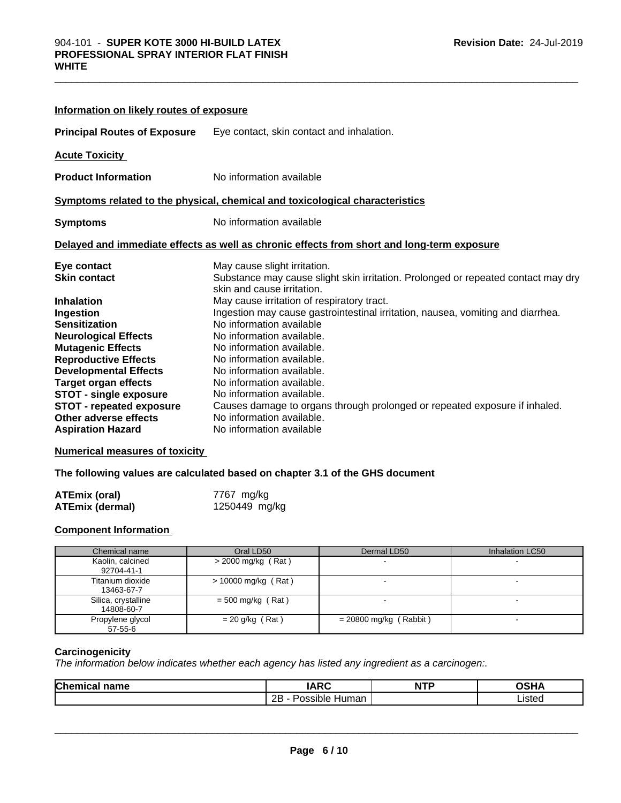| Information on likely routes of exposure                                                                                    |                                                                                                                                                                                                                     |
|-----------------------------------------------------------------------------------------------------------------------------|---------------------------------------------------------------------------------------------------------------------------------------------------------------------------------------------------------------------|
|                                                                                                                             | <b>Principal Routes of Exposure</b> Eye contact, skin contact and inhalation.                                                                                                                                       |
| <b>Acute Toxicity</b>                                                                                                       |                                                                                                                                                                                                                     |
| <b>Product Information</b>                                                                                                  | No information available                                                                                                                                                                                            |
|                                                                                                                             | Symptoms related to the physical, chemical and toxicological characteristics                                                                                                                                        |
| <b>Symptoms</b>                                                                                                             | No information available                                                                                                                                                                                            |
|                                                                                                                             | Delayed and immediate effects as well as chronic effects from short and long-term exposure                                                                                                                          |
| Eye contact<br><b>Skin contact</b>                                                                                          | May cause slight irritation.<br>Substance may cause slight skin irritation. Prolonged or repeated contact may dry<br>skin and cause irritation.                                                                     |
| <b>Inhalation</b><br>Ingestion<br><b>Sensitization</b><br><b>Neurological Effects</b><br><b>Mutagenic Effects</b>           | May cause irritation of respiratory tract.<br>Ingestion may cause gastrointestinal irritation, nausea, vomiting and diarrhea.<br>No information available<br>No information available.<br>No information available. |
| <b>Reproductive Effects</b><br><b>Developmental Effects</b><br><b>Target organ effects</b><br><b>STOT - single exposure</b> | No information available.<br>No information available.<br>No information available.<br>No information available.                                                                                                    |
| <b>STOT - repeated exposure</b><br>Other adverse effects<br><b>Aspiration Hazard</b>                                        | Causes damage to organs through prolonged or repeated exposure if inhaled.<br>No information available.<br>No information available                                                                                 |

**Numerical measures of toxicity**

**The following values are calculated based on chapter 3.1 of the GHS document**

| ATEmix (oral)          | 7767 mg/kg    |
|------------------------|---------------|
| <b>ATEmix (dermal)</b> | 1250449 mg/kg |

#### **Component Information**

| Chemical name                     | Oral LD50             | Dermal LD50              | Inhalation LC50 |
|-----------------------------------|-----------------------|--------------------------|-----------------|
| Kaolin, calcined<br>92704-41-1    | > 2000 mg/kg (Rat)    |                          |                 |
| Titanium dioxide<br>13463-67-7    | $>$ 10000 mg/kg (Rat) |                          |                 |
| Silica, crystalline<br>14808-60-7 | $=$ 500 mg/kg (Rat)   |                          |                 |
| Propylene glycol<br>57-55-6       | $= 20$ g/kg (Rat)     | $= 20800$ mg/kg (Rabbit) |                 |

#### **Carcinogenicity**

*The information below indicateswhether each agency has listed any ingredient as a carcinogen:.*

| Chemical<br>name | <b>IARC</b>             | <b>NTP</b> | <b>OSHA</b> |  |
|------------------|-------------------------|------------|-------------|--|
|                  | 2B<br>Human<br>Possible |            | ∟isted      |  |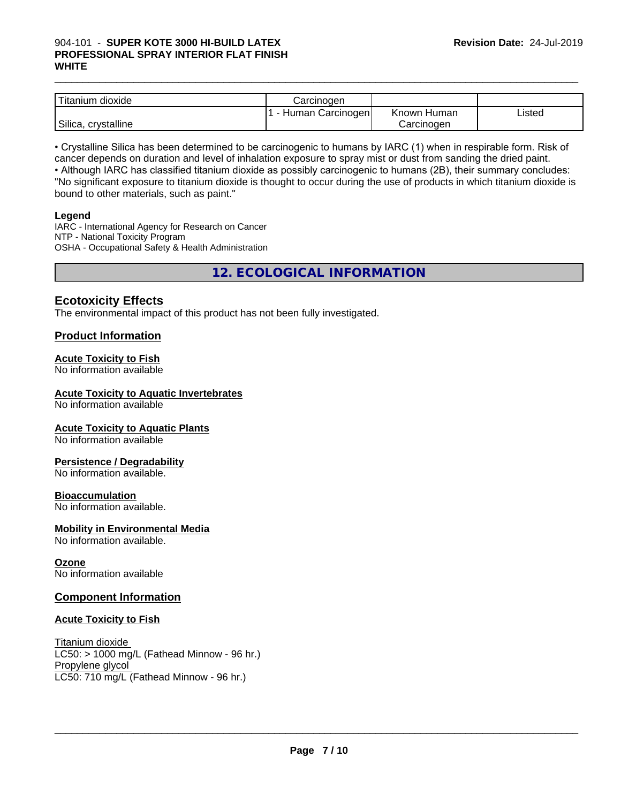#### $\_$  ,  $\_$  ,  $\_$  ,  $\_$  ,  $\_$  ,  $\_$  ,  $\_$  ,  $\_$  ,  $\_$  ,  $\_$  ,  $\_$  ,  $\_$  ,  $\_$  ,  $\_$  ,  $\_$  ,  $\_$  ,  $\_$  ,  $\_$  ,  $\_$  ,  $\_$  ,  $\_$  ,  $\_$  ,  $\_$  ,  $\_$  ,  $\_$  ,  $\_$  ,  $\_$  ,  $\_$  ,  $\_$  ,  $\_$  ,  $\_$  ,  $\_$  ,  $\_$  ,  $\_$  ,  $\_$  ,  $\_$  ,  $\_$  , 904-101 - **SUPER KOTE 3000 HI-BUILD LATEX PROFESSIONAL SPRAY INTERIOR FLAT FINISH WHITE**

| Titanium 、<br>$\cdots$<br>dioxide | Carcinogen          |                |        |
|-----------------------------------|---------------------|----------------|--------|
|                                   | Carcinogen<br>Human | Known<br>Human | Listed |
| Silica,<br>crystalline            |                     | Carcinoɑen     |        |

• Crystalline Silica has been determined to be carcinogenic to humans by IARC (1) when in respirable form. Risk of cancer depends on duration and level of inhalation exposure to spray mist or dust from sanding the dried paint.• Although IARC has classified titanium dioxide as possibly carcinogenic to humans (2B), their summary concludes: "No significant exposure to titanium dioxide is thought to occur during the use of products in which titanium dioxide is bound to other materials, such as paint."

#### **Legend**

IARC - International Agency for Research on Cancer NTP - National Toxicity Program OSHA - Occupational Safety & Health Administration

**12. ECOLOGICAL INFORMATION**

#### **Ecotoxicity Effects**

The environmental impact of this product has not been fully investigated.

#### **Product Information**

#### **Acute Toxicity to Fish**

No information available

#### **Acute Toxicity to Aquatic Invertebrates**

No information available

#### **Acute Toxicity to Aquatic Plants**

No information available

#### **Persistence / Degradability**

No information available.

#### **Bioaccumulation**

No information available.

#### **Mobility in Environmental Media**

No information available.

#### **Ozone**

No information available

#### **Component Information**

#### **Acute Toxicity to Fish**

Titanium dioxide  $LC50:$  > 1000 mg/L (Fathead Minnow - 96 hr.) Propylene glycol LC50: 710 mg/L (Fathead Minnow - 96 hr.)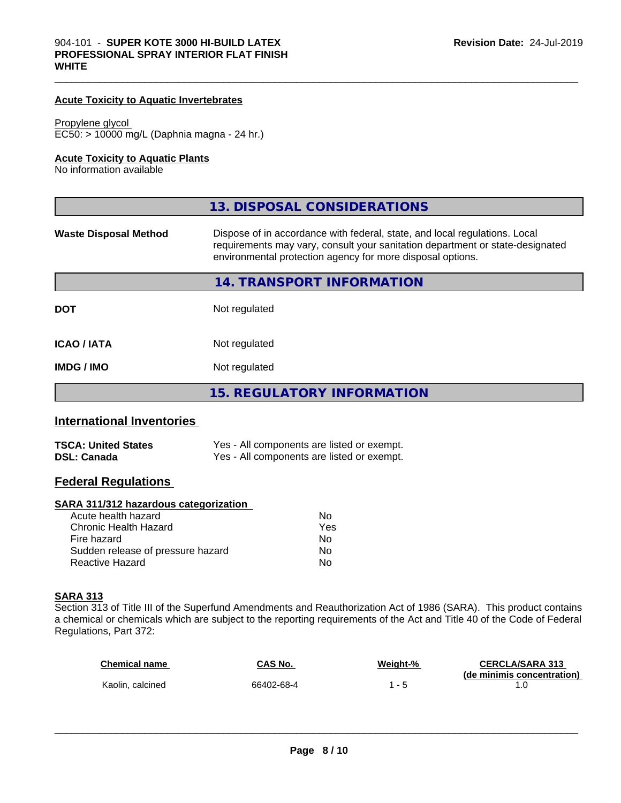#### **Acute Toxicity to Aquatic Invertebrates**

#### Propylene glycol

EC50: > 10000 mg/L (Daphnia magna - 24 hr.)

#### **Acute Toxicity to Aquatic Plants**

No information available

|                              | 13. DISPOSAL CONSIDERATIONS                                                                                                                                                                                               |
|------------------------------|---------------------------------------------------------------------------------------------------------------------------------------------------------------------------------------------------------------------------|
| <b>Waste Disposal Method</b> | Dispose of in accordance with federal, state, and local regulations. Local<br>requirements may vary, consult your sanitation department or state-designated<br>environmental protection agency for more disposal options. |
|                              | 14. TRANSPORT INFORMATION                                                                                                                                                                                                 |
| <b>DOT</b>                   | Not regulated                                                                                                                                                                                                             |
| <b>ICAO/IATA</b>             | Not regulated                                                                                                                                                                                                             |
| <b>IMDG/IMO</b>              | Not regulated                                                                                                                                                                                                             |
|                              | <b>15. REGULATORY INFORMATION</b>                                                                                                                                                                                         |

#### **International Inventories**

| <b>TSCA: United States</b> | Yes - All components are listed or exempt. |
|----------------------------|--------------------------------------------|
| <b>DSL: Canada</b>         | Yes - All components are listed or exempt. |

#### **Federal Regulations**

#### **SARA 311/312 hazardous categorization**

| Acute health hazard               | No  |  |
|-----------------------------------|-----|--|
| Chronic Health Hazard             | Yes |  |
| Fire hazard                       | N٥  |  |
| Sudden release of pressure hazard | Nο  |  |
| Reactive Hazard                   | Nο  |  |

#### **SARA 313**

Section 313 of Title III of the Superfund Amendments and Reauthorization Act of 1986 (SARA). This product contains a chemical or chemicals which are subject to the reporting requirements of the Act and Title 40 of the Code of Federal Regulations, Part 372:

| <b>Chemical name</b> | CAS No.    | Weight-% | <b>CERCLA/SARA 313</b>     |
|----------------------|------------|----------|----------------------------|
| Kaolin, calcined     | 66402-68-4 |          | (de minimis concentration) |
|                      |            |          |                            |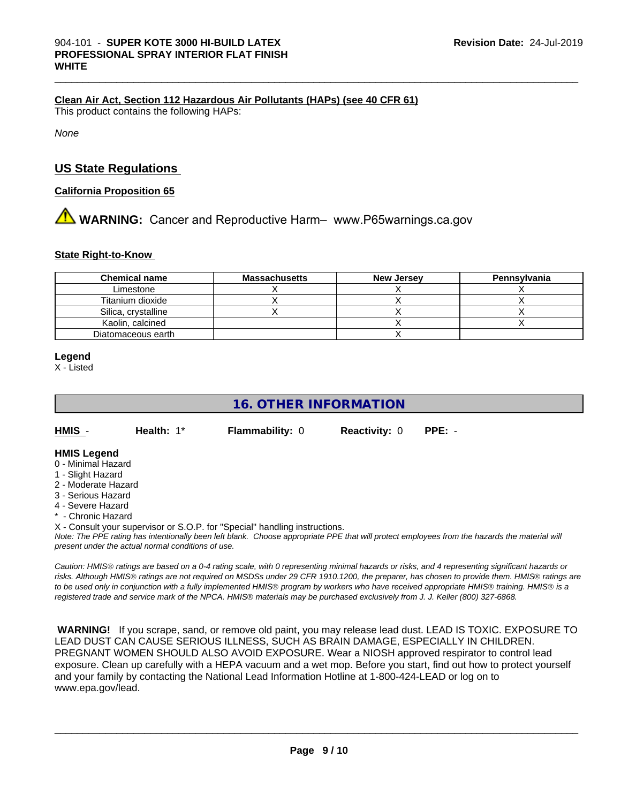#### **Clean Air Act,Section 112 Hazardous Air Pollutants (HAPs) (see 40 CFR 61)**

This product contains the following HAPs:

*None*

#### **US State Regulations**

#### **California Proposition 65**

**1.** WARNING: Cancer and Reproductive Harm– www.P65warnings.ca.gov

#### **State Right-to-Know**

| <b>Chemical name</b> | <b>Massachusetts</b> | <b>New Jersey</b> | <b>Pennsylvania</b> |
|----------------------|----------------------|-------------------|---------------------|
| Limestone            |                      |                   |                     |
| Titanium dioxide     |                      |                   |                     |
| Silica, crystalline  |                      |                   |                     |
| Kaolin, calcined     |                      |                   |                     |
| Diatomaceous earth   |                      |                   |                     |

#### **Legend**

X - Listed

**16. OTHER INFORMATION**

**HMIS** - **Health:** 1\* **Flammability:** 0 **Reactivity:** 0 **PPE:** -

#### **HMIS Legend**

- 0 Minimal Hazard
- 1 Slight Hazard
- 2 Moderate Hazard
- 3 Serious Hazard
- 4 Severe Hazard
- \* Chronic Hazard
- X Consult your supervisor or S.O.P. for "Special" handling instructions.

*Note: The PPE rating has intentionally been left blank. Choose appropriate PPE that will protect employees from the hazards the material will present under the actual normal conditions of use.*

*Caution: HMISÒ ratings are based on a 0-4 rating scale, with 0 representing minimal hazards or risks, and 4 representing significant hazards or risks. Although HMISÒ ratings are not required on MSDSs under 29 CFR 1910.1200, the preparer, has chosen to provide them. HMISÒ ratings are to be used only in conjunction with a fully implemented HMISÒ program by workers who have received appropriate HMISÒ training. HMISÒ is a registered trade and service mark of the NPCA. HMISÒ materials may be purchased exclusively from J. J. Keller (800) 327-6868.*

 **WARNING!** If you scrape, sand, or remove old paint, you may release lead dust. LEAD IS TOXIC. EXPOSURE TO LEAD DUST CAN CAUSE SERIOUS ILLNESS, SUCH AS BRAIN DAMAGE, ESPECIALLY IN CHILDREN. PREGNANT WOMEN SHOULD ALSO AVOID EXPOSURE.Wear a NIOSH approved respirator to control lead exposure. Clean up carefully with a HEPA vacuum and a wet mop. Before you start, find out how to protect yourself and your family by contacting the National Lead Information Hotline at 1-800-424-LEAD or log on to www.epa.gov/lead.